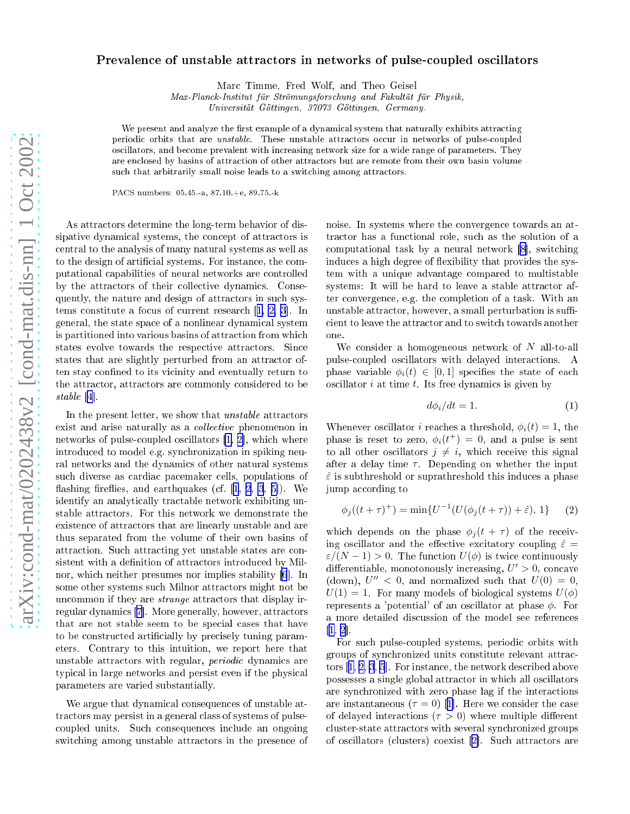## Prevalence of unstable attractors in networks of pulse-coupled oscillators

Mar Timme, Fred Wolf, and Theo Geisel

Max-Plan
k-Institut für Strömungsfors
hung and Fakultät für Physik,

Universität Göttingen, 37073 Göttingen, Germany.

We present and analyze the first example of a dynamical system that naturally exhibits attracting periodic orbits that are *unstable*. These unstable attractors occur in networks of pulse-coupled os
illators, and be
ome prevalent with in
reasing network size for a wide range of parameters. They are en
losed by basins of attra
tion of other attra
tors but are remote from their own basin volume such that arbitrarily small noise leads to a switching among attractors.

PACS numbers: 05.45.-a, 87.10.+e, 89.75.-k

As attractors determine the long-term behavior of dissipative dynamical systems, the concept of attractors is entral to the analysis of many natural systems as well as to the design of artificial systems. For instance, the computational apabilities of neural networks are ontrolled by the attractors of their collective dynamics. Consequently, the nature and design of attractors in such systems constitute a focus of current research  $[1, 2, 3]$  $[1, 2, 3]$  $[1, 2, 3]$  $[1, 2, 3]$  $[1, 2, 3]$  $[1, 2, 3]$  $[1, 2, 3]$ . In general, the state spa
e of a nonlinear dynami
al system is partitioned into various basins of attraction from which states evolve towards the respective attractors. Since states that are slightly perturbed from an attractor often stay confined to its vicinity and eventually return to the attra
tor, attra
tors are ommonly onsidered to be stable  $[4]$ .

In the present letter, we show that *unstable* attractors exist and arise naturally as a *collective* phenomenon in networks of pulse-coupled oscillators  $[1, 2]$  $[1, 2]$ , which where introdu
ed to model e.g. syn
hronization in spiking neural networks and the dynami
s of other natural systems such diverse as cardiac pacemaker cells, populations of flashing fireflies, and earthquakes (cf.  $[1, 2, 3, 5]$  $[1, 2, 3, 5]$  $[1, 2, 3, 5]$  $[1, 2, 3, 5]$  $[1, 2, 3, 5]$  $[1, 2, 3, 5]$  $[1, 2, 3, 5]$ ). We identify an analytically tractable network exhibiting unstable attra
tors. For this network we demonstrate the existen
e of attra
tors that are linearly unstable and are thus separated from the volume of their own basins of attra
tion. Su
h attra
ting yet unstable states are onsistent with a definition of attractors introduced by Mil-nor, which neither presumes nor implies stability [\[6](#page-3-0)]. In some other systems such Milnor attractors might not be uncommon if they are *strange* attractors that display irregular dynamics [7]. More generally, however, attractors that are not stable seem to be special cases that have to be constructed artificially by precisely tuning parameters. Contrary to this intuition, we report here that unstable attractors with regular, *periodic* dynamics are typical in large networks and persist even if the physical parameters are varied substantially.

We argue that dynamical consequences of unstable attractors may persist in a general class of systems of pulseoupled units. Su
h onsequen
es in
lude an ongoing switching among unstable attractors in the presence of noise. In systems where the onvergen
e towards an attractor has a functional role, such as the solution of a computational task by a neural network  $[8]$ , switching induces a high degree of flexibility that provides the system with a unique advantage ompared to multistable systems: It will be hard to leave a stable attractor after onvergen
e, e.g. the ompletion of a task. With an unstable attractor, however, a small perturbation is sufficient to leave the attractor and to switch towards another one.

We consider a homogeneous network of  $N$  all-to-all pulseoupled os
illators with delayed intera
tions. A phase variable  $\phi_i(t) \in [0,1]$  specifies the state of each  $\alpha$  oscillator  $i$  at time  $t$ . Its free dynamics is given by

$$
d\phi_i/dt = 1. \tag{1}
$$

Whenever oscillator *i* reaches a threshold,  $\phi_i(t) = 1$ , the phase is reset to zero,  $\phi_i(t^+) = 0$ , and a pulse is sent to all other oscillators  $j \neq i$ , which receive this signal after a delay time  $\tau$ . Depending on whether the input  $\hat{\varepsilon}$  is subthreshold or suprathreshold this induces a phase jump according to

$$
\phi_j((t+\tau)^+) = \min\{U^{-1}(U(\phi_j(t+\tau)) + \hat{\varepsilon}), 1\} \tag{2}
$$

which depends on the phase  $\phi_i(t+\tau)$  of the receiving oscillator and the effective excitatory coupling  $\hat{\varepsilon} =$  $\varepsilon/(N-1) > 0$ . The function  $U(\phi)$  is twice continuously differentiable, monotonously increasing,  $U' > 0$ , concave (down),  $U''$  < 0, and normalized such that  $U(0) = 0$ ,  $U(1) = 1$ . For many models of biological systems  $U(\phi)$ represents a 'potential' of an oscillator at phase  $\phi$ . For a more detailed dis
ussion of the model see referen
es  $[1, 2]$  $[1, 2]$  $[1, 2]$ .

For su
h pulseoupled systems, periodi orbits with groups of syn
hronized units onstitute relevant attra
 tors  $[1, 2, 3, 5]$  $[1, 2, 3, 5]$  $[1, 2, 3, 5]$  $[1, 2, 3, 5]$  $[1, 2, 3, 5]$  $[1, 2, 3, 5]$  $[1, 2, 3, 5]$  $[1, 2, 3, 5]$  $[1, 2, 3, 5]$ . For instance, the network described above possesses a single global attractor in which all oscillators are syn
hronized with zero phase lag if the intera
tions are instantaneous  $(\tau = 0)$  [1]. Here we consider the case of delayed interactions ( $\tau > 0$ ) where multiple different cluster-state attractors with several synchronized groups of oscillators (clusters) coexist [2]. Such attractors are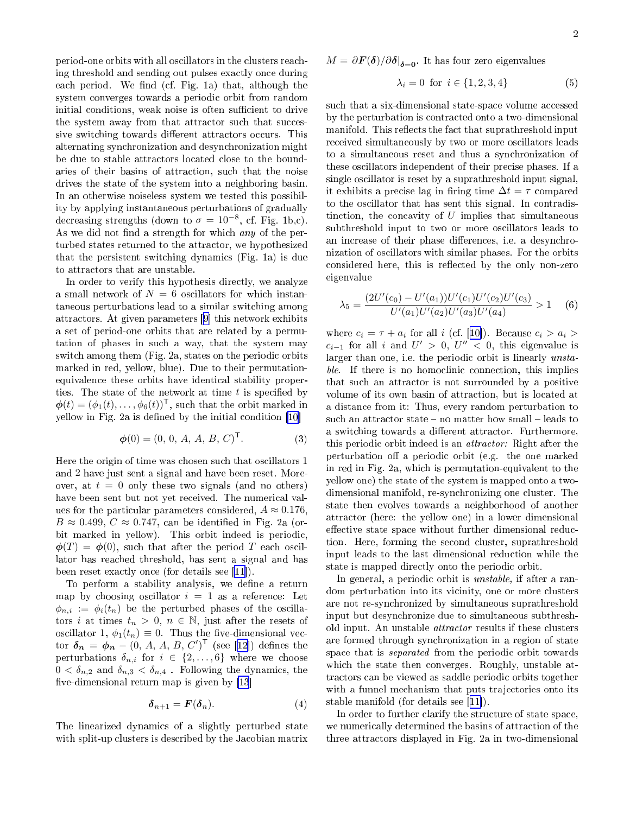<span id="page-1-0"></span>period-one orbits with all os
illators in the lusters rea
hing threshold and sending out pulses exa
tly on
e during each period. We find (cf. Fig. 1a) that, although the system onverges towards a periodi orbit from random initial conditions, weak noise is often sufficient to drive the system away from that attractor such that successive switching towards different attractors occurs. This alternating syn
hronization and desyn
hronization might be due to stable attractors located close to the boundaries of their basins of attra
tion, su
h that the noise drives the state of the system into a neighboring basin. In an otherwise noiseless system we tested this possibility by applying instantaneous perturbations of gradually decreasing strengths (down to  $\sigma = 10^{-8}$ , cf. Fig. 1b,c). As we did not find a strength for which *any* of the perturbed states returned to the attra
tor, we hypothesized that the persistent swit
hing dynami
s (Fig. 1a) is due to attra
tors that are unstable.

In order to verify this hypothesis directly, we analyze a small network of  $N = 6$  oscillators for which instantaneous perturbations lead to a similar swit
hing among attractors. At given parameters [9] this network exhibits a set of period-one orbits that are related by a permutation of phases in su
h a way, that the system may switch among them (Fig. 2a, states on the periodic orbits marked in red, yellow, blue). Due to their permutationequivalence these orbits have identical stability properties. The state of the network at time  $t$  is specified by  $\boldsymbol{\phi}(t) = (\phi_1(t), \dots, \phi_6(t))^{\mathsf{T}}$ , such that the orbit marked in yellow in Fig. 2a is defined by the initial condition  $[10]$ 

$$
\phi(0) = (0, 0, A, A, B, C)^{\mathsf{T}}.
$$
 (3)

Here the origin of time was chosen such that oscillators 1 and 2 have just sent a signal and have been reset. Moreover, at  $t = 0$  only these two signals (and no others) have been sent but not yet received. The numerical values for the particular parameters considered,  $A \approx 0.176$ ,  $B \approx 0.499, C \approx 0.747$ , can be identified in Fig. 2a (orbit marked in yellow). This orbit indeed is periodic,  $\phi(T) = \phi(0)$ , such that after the period T each oscillator has rea
hed threshold, has sent a signal and has been reset exactly once (for details see  $[11]$ ).

To perform a stability analysis, we define a return map by choosing oscillator  $i = 1$  as a reference: Let  $\phi_{n,i} := \phi_i(t_n)$  be the perturbed phases of the oscillators i at times  $t_n > 0$ ,  $n \in \mathbb{N}$ , just after the resets of oscillator 1,  $\phi_1(t_n) \equiv 0$ . Thus the five-dimensional vector  $\boldsymbol{\delta_n} = \boldsymbol{\phi_n} - (0, A, A, B, C')^\mathsf{T}$  (see [12]) defines the perturbations  $\delta_{n,i}$  for  $i \in \{2,\ldots,6\}$  where we choose  $0 < \delta_{n,2}$  and  $\delta_{n,3} < \delta_{n,4}$ . Following the dynamics, the five-dimensional return map is given by  $[13]$  $[13]$ 

$$
\delta_{n+1} = \boldsymbol{F}(\delta_n). \tag{4}
$$

The linearized dynami
s of a slightly perturbed state with split-up clusters is described by the Jacobian matrix

$$
\lambda_i = 0 \text{ for } i \in \{1, 2, 3, 4\} \tag{5}
$$

such that a six-dimensional state-space volume accessed by the perturbation is contracted onto a two-dimensional manifold. This reflects the fact that suprathreshold input received simultaneously by two or more oscillators leads to a simultaneous reset and thus a syn
hronization of these os
illators independent of their pre
ise phases. If a single os
illator is reset by a suprathreshold input signal, it exhibits a precise lag in firing time  $\Delta t = \tau$  compared to the os
illator that has sent this signal. In ontradistinction, the concavity of  $U$  implies that simultaneous subthreshold input to two or more os
illators leads to an increase of their phase differences, i.e. a desynchronization of os
illators with similar phases. For the orbits considered here, this is reflected by the only non-zero eigenvalue

$$
\lambda_5 = \frac{(2U'(c_0) - U'(a_1))U'(c_1)U'(c_2)U'(c_3)}{U'(a_1)U'(a_2)U'(a_3)U'(a_4)} > 1 \quad (6)
$$

where  $c_i = \tau + a_i$  for all i (cf. [10]). Because  $c_i > a_i$  $c_{i-1}$  for all i and  $U' > 0$ ,  $U'' < 0$ , this eigenvalue is larger than one, i.e. the periodic orbit is linearly *unsta* $ble.$  If there is no homoclinic connection, this implies that such an attractor is not surrounded by a positive volume of its own basin of attraction, but is located at a distan
e from it: Thus, every random perturbation to such an attractor state  $-$  no matter how small  $-$  leads to a switching towards a different attractor. Furthermore, this periodic orbit indeed is an *attractor*: Right after the perturbation off a periodic orbit (e.g. the one marked in red in Fig. 2a, whi
h is permutation-equivalent to the yellow one) the state of the system is mapped onto a twodimensional manifold, re-syn
hronizing one luster. The state then evolves towards a neighborhood of another attra
tor (here: the yellow one) in a lower dimensional effective state space without further dimensional reduction. Here, forming the se
ond luster, suprathreshold input leads to the last dimensional reduction while the state is mapped directly onto the periodic orbit.

In general, a periodic orbit is *unstable*, if after a random perturbation into its vicinity, one or more clusters are not re-syn
hronized by simultaneous suprathreshold input but desyn
hronize due to simultaneous subthreshold input. An unstable attra
tor results if these lusters are formed through syn
hronization in a region of state space that is *separated* from the periodic orbit towards which the state then converges. Roughly, unstable attractors can be viewed as saddle periodic orbits together with a funnel mechanism that puts trajectories onto its stable manifold (for details see  $[11]$ ).

In order to further clarify the structure of state space, we numerically determined the basins of attraction of the three attra
tors displayed in Fig. 2a in two-dimensional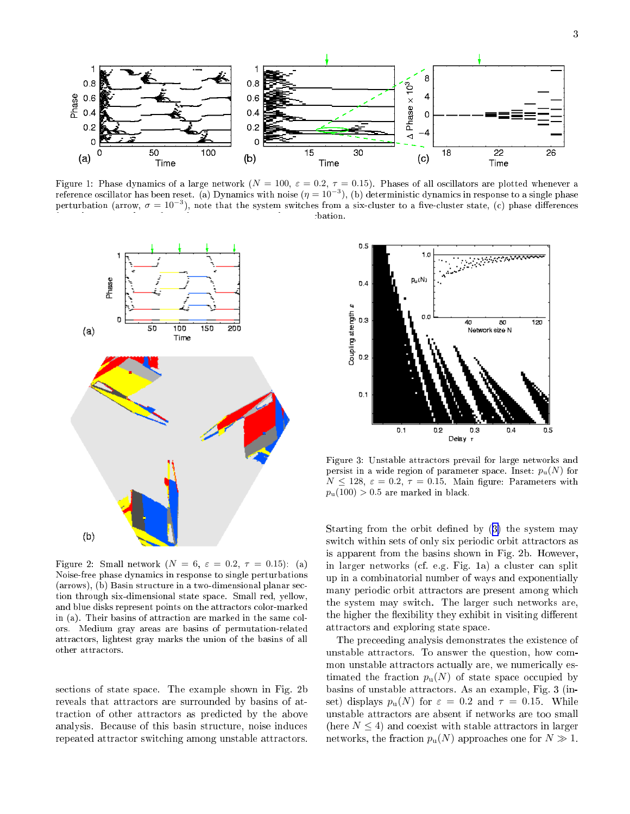

Figure 1: Phase dynamics of a large network ( $N = 100$ ,  $\varepsilon = 0.2$ ,  $\tau = 0.15$ ). Phases of all oscillators are plotted whenever a reference oscillator has been reset. (a) Dynamics with noise ( $\eta=10^{-3}$ ), (b) deterministic dynamics in response to a single phase perturbation (arrow,  $\sigma = 10^{-3}$ ), note that the system switches from a six-cluster to a five-cluster state, (c) phase differences bation.



Figure 2: Small network  $(N = 6, \varepsilon = 0.2, \tau = 0.15)$ : (a) Noise-free phase dynami
s in response to single perturbations (arrows), (b) Basin structure in a two-dimensional planar section through six-dimensional state spa
e. Small red, yellow, and blue disks represent points on the attractors color-marked in (a). Their basins of attraction are marked in the same colors. Medium gray areas are basins of permutation-related attra
tors, lightest gray marks the union of the basins of all other attra
tors.

se
tions of state spa
e. The example shown in Fig. 2b reveals that attractors are surrounded by basins of attraction of other attractors as predicted by the above analysis. Be
ause of this basin stru
ture, noise indu
es repeated attra
tor swit
hing among unstable attra
tors.



Figure 3: Unstable attra
tors prevail for large networks and persist in a wide region of parameter space. Inset:  $p_u(N)$  for  $N \le 128$ ,  $\varepsilon = 0.2$ ,  $\tau = 0.15$ . Main figure: Parameters with  $p_u(100) > 0.5$  are marked in black.

Starting from the orbit defined by  $(3)$  $(3)$  the system may switch within sets of only six periodic orbit attractors as is apparent from the basins shown in Fig. 2b. However, in larger networks (
f. e.g. Fig. 1a) a luster an split up in a ombinatorial number of ways and exponentially many periodic orbit attractors are present among which the system may swit
h. The larger su
h networks are, the higher the flexibility they exhibit in visiting different attra
tors and exploring state spa
e.

The pre
eeding analysis demonstrates the existen
e of unstable attra
tors. To answer the question, how ommon unstable attractors actually are, we numerically estimated the fraction  $p_u(N)$  of state space occupied by basins of unstable attra
tors. As an example, Fig. 3 (inset) displays  $p_u(N)$  for  $\varepsilon = 0.2$  and  $\tau = 0.15$ . While unstable attra
tors are absent if networks are too small (here  $N \leq 4$ ) and coexist with stable attractors in larger networks, the fraction  $p_u(N)$  approaches one for  $N \gg 1$ .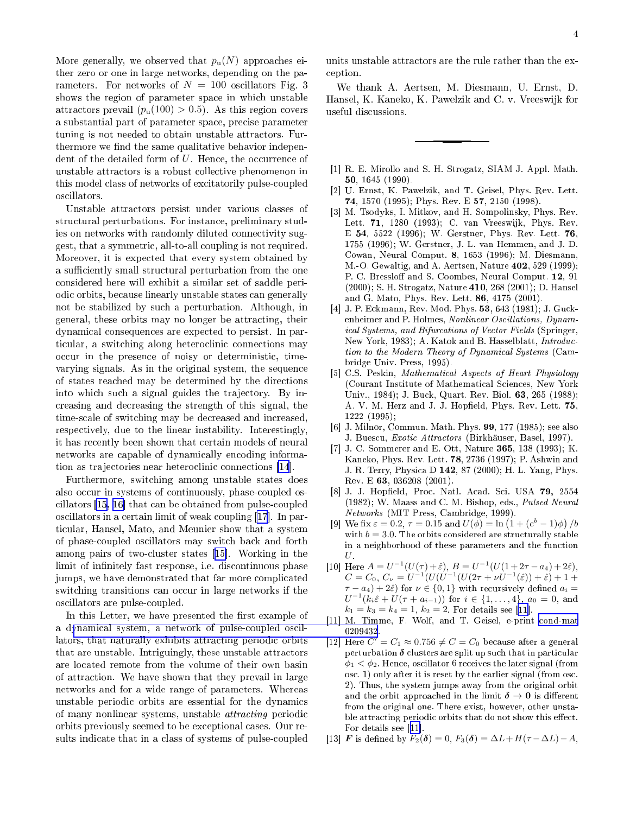<span id="page-3-0"></span>More generally, we observed that  $p_u(N)$  approaches either zero or one in large networks, depending on the parameters. For networks of  $N = 100$  oscillators Fig. 3 shows the region of parameter spa
e in whi
h unstable attractors prevail  $(p_u(100) > 0.5)$ . As this region covers a substantial part of parameter spa
e, pre
ise parameter tuning is not needed to obtain unstable attractors. Furthermore we find the same qualitative behavior independent of the detailed form of  $U$ . Hence, the occurrence of unstable attra
tors is a robust olle
tive phenomenon in this model lass of networks of ex
itatorily pulseoupled os
illators.

Unstable attractors persist under various classes of structural perturbations. For instance, preliminary studies on networks with randomly diluted connectivity suggest, that a symmetri
, all-to-all oupling is not required. Moreover, it is expe
ted that every system obtained by a sufficiently small structural perturbation from the one onsidered here will exhibit a similar set of saddle periodi orbits, be
ause linearly unstable states an generally not be stabilized by su
h a perturbation. Although, in general, these orbits may no longer be attra
ting, their dynami
al onsequen
es are expe
ted to persist. In particular, a switching along heteroclinic connections may occur in the presence of noisy or deterministic, timevarying signals. As in the original system, the sequen
e of states rea
hed may be determined by the dire
tions into which such a signal guides the trajectory. By inreasing and de
reasing the strength of this signal, the time-scale of switching may be decreased and increased, respe
tively, due to the linear instability. Interestingly, it has re
ently been shown that ertain models of neural networks are capable of dynamically encoding informa-tion as trajectories near heteroclinic connections [\[14](#page-4-0)].

Furthermore, switching among unstable states does also occur in systems of continuously, phase-coupled os $cillators$  [[15,](#page-4-0) 16] that can be obtained from pulse-coupled oscillators in a certain limit of weak coupling [\[17](#page-4-0)]. In parti
ular, Hansel, Mato, and Meunier show that a system of phaseoupled os
illators may swit
h ba
k and forth among pairs of two-cluster states [15]. Working in the limit of infinitely fast response, i.e. discontinuous phase jumps, we have demonstrated that far more complicated switching transitions can occur in large networks if the os
illators are pulseoupled.

In this Letter, we have presented the first example of a dynami
al system, a network of [pulseoupled](http://arxiv.org/abs/cond-mat/0209432) os
illators, that naturally exhibits attracting periodic orbits that are unstable. Intriguingly, these unstable attra
tors are lo
ated remote from the volume of their own basin of attra
tion. We have shown that they prevail in large networks and for a wide range of parameters. Whereas unstable periodic orbits are essential for the dynamics of many nonlinear systems, unstable *attracting* periodic orbits previously seemed to be ex
eptional ases. Our results indicate that in a class of systems of pulse-coupled units unstable attractors are the rule rather than the exeption.

We thank A. Aertsen, M. Diesmann, U. Ernst, D. Hansel, K. Kaneko, K. Pawelzik and C. v. Vreeswijk for useful dis
ussions.

- [1] R. E. Mirollo and S. H. Strogatz, SIAM J. Appl. Math. 50, 1645 (1990).
- [2] U. Ernst, K. Pawelzik, and T. Geisel, Phys. Rev. Lett. 74, 1570 (1995); Phys. Rev. E 57, 2150 (1998).
- [3] M. Tsodyks, I. Mitkov, and H. Sompolinsky, Phys. Rev. Lett. 71, 1280 (1993); C. van Vreeswijk, Phys. Rev. E 54, 5522 (1996); W. Gerstner, Phys. Rev. Lett. 76, 1755 (1996); W. Gerstner, J. L. van Hemmen, and J. D. Cowan, Neural Comput. 8, 1653 (1996); M. Diesmann, M.-O. Gewaltig, and A. Aertsen, Nature 402, 529 (1999); P. C. Bressloff and S. Coombes, Neural Comput. 12, 91 (2000); S. H. Strogatz, Nature 410, 268 (2001); D. Hansel and G. Mato, Phys. Rev. Lett. 86, 4175 (2001).
- [4] J. P. Eckmann, Rev. Mod. Phys. 53, 643 (1981); J. Guckenheimer and P. Holmes, Nonlinear Oscillations, Dynamical Systems, and Bifurcations of Vector Fields (Springer, New York, 1983); A. Katok and B. Hasselblatt, *Introduc*tion to the Modern Theory of Dynami
al Systems (Cambridge Univ. Press, 1995).
- [5] C.S. Peskin, Mathematical Aspects of Heart Physiology (Courant Institute of Mathemati
al S
ien
es, New York Univ., 1984); J. Bu
k, Quart. Rev. Biol. 63, 265 (1988); A. V. M. Herz and J. J. Hopfield, Phys. Rev. Lett. 75, 1222 (1995);
- [6] J. Milnor, Commun. Math. Phys.  $99$ , 177 (1985); see also J. Buescu, Exotic Attractors (Birkhäuser, Basel, 1997).
- [7] J. C. Sommerer and E. Ott, Nature 365, 138 (1993); K. Kaneko, Phys. Rev. Lett. 78, 2736 (1997); P. Ashwin and J. R. Terry, Physi
a D 142, 87 (2000); H. L. Yang, Phys. Rev. E 63, 036208 (2001).
- [8] J. J. Hopfield, Proc. Natl. Acad. Sci. USA 79, 2554 (1982); W. Maass and C. M. Bishop, eds., Pulsed Neural Networks (MIT Press, Cambridge, 1999).
- [9] We fix  $\varepsilon = 0.2, \tau = 0.15$  and  $U(\phi) = \ln(1 + (e^{b} 1)\phi)/b$ with  $b = 3.0$ . The orbits considered are structurally stable in a neighborhood of these parameters and the fun
tion  $U$ .
- [10] Here  $A = U^{-1}(U(\tau) + \hat{\varepsilon}), B = U^{-1}(U(1 + 2\tau a_4) + 2\hat{\varepsilon}),$  $C = C_0, C_{\nu} = U^{-1}(U(U^{-1}(U(2\tau + \nu U^{-1}(\hat{\varepsilon})) + \hat{\varepsilon}) + 1 + \hat{\varepsilon}))$  $\tau - a_4$ ) + 2 $\hat{\varepsilon}$ ) for  $\nu \in \{0, 1\}$  with recursively defined  $a_i =$  $U^{-1}(k_i \hat{\varepsilon} + U(\tau + a_{i-1}))$  for  $i \in \{1, ..., 4\}$ ,  $a_0 = 0$ , and  $k_1 = k_3 = k_4 = 1, k_2 = 2.$  For details see [11].
- [11] M. Timme, F. Wolf, and T. Geisel, e-print cond-mat 0209432.
- [12] Here  $C' = C_1 \approx 0.756 \neq C = C_0$  because after a general perturbation  $\delta$  clusters are split up such that in particular  $\phi_1 < \phi_2$ . Hence, oscillator 6 receives the later signal (from os
. 1) only after it is reset by the earlier signal (from os
. 2). Thus, the system jumps away from the original orbit and the orbit approached in the limit  $\delta \to 0$  is different from the original one. There exist, however, other unstable attracting periodic orbits that do not show this effect. For details see  $[11]$ .
- [13] **F** is defined by  $F_2(\delta) = 0$ ,  $F_3(\delta) = \Delta L + H(\tau \Delta L) A$ ,